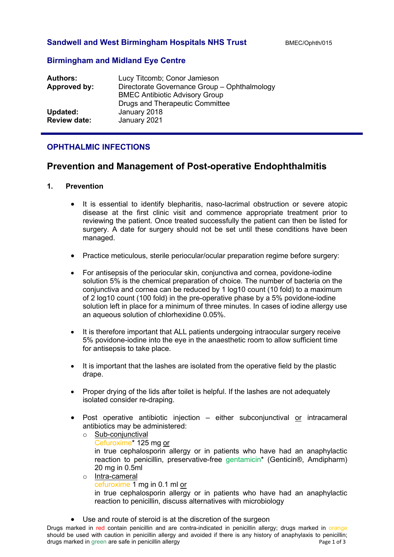## **Sandwell and West Birmingham Hospitals NHS Trust** BMEC/Ophth/015

## **Birmingham and Midland Eye Centre**

| <b>Authors:</b>     | Lucy Titcomb; Conor Jamieson                 |
|---------------------|----------------------------------------------|
| Approved by:        | Directorate Governance Group - Ophthalmology |
|                     | <b>BMEC Antibiotic Advisory Group</b>        |
|                     | <b>Drugs and Therapeutic Committee</b>       |
| Updated:            | January 2018                                 |
| <b>Review date:</b> | January 2021                                 |
|                     |                                              |

# **OPHTHALMIC INFECTIONS**

# **Prevention and Management of Post-operative Endophthalmitis**

#### **1. Prevention**

- It is essential to identify blepharitis, naso-lacrimal obstruction or severe atopic disease at the first clinic visit and commence appropriate treatment prior to reviewing the patient. Once treated successfully the patient can then be listed for surgery. A date for surgery should not be set until these conditions have been managed.
- Practice meticulous, sterile periocular/ocular preparation regime before surgery:
- For antisepsis of the periocular skin, conjunctiva and cornea, povidone-iodine solution 5% is the chemical preparation of choice. The number of bacteria on the conjunctiva and cornea can be reduced by 1 log10 count (10 fold) to a maximum of 2 log10 count (100 fold) in the pre-operative phase by a 5% povidone-iodine solution left in place for a minimum of three minutes. In cases of iodine allergy use an aqueous solution of chlorhexidine 0.05%.
- It is therefore important that ALL patients undergoing intraocular surgery receive 5% povidone-iodine into the eye in the anaesthetic room to allow sufficient time for antisepsis to take place.
- It is important that the lashes are isolated from the operative field by the plastic drape.
- Proper drying of the lids after toilet is helpful. If the lashes are not adequately isolated consider re-draping.
- Post operative antibiotic injection either subconiunctival or intracameral antibiotics may be administered:
	- o Sub-conjunctival Cefuroxime\* 125 mg or in true cephalosporin allergy or in patients who have had an anaphylactic reaction to penicillin, preservative-free gentamicin<sup>\*</sup> (Genticin®, Amdipharm) 20 mg in 0.5ml o Intra-cameral
	- cefuroxime 1 mg in 0.1 ml or in true cephalosporin allergy or in patients who have had an anaphylactic reaction to penicillin, discuss alternatives with microbiology
- Use and route of steroid is at the discretion of the surgeon

Drugs marked in red contain penicillin and are contra-indicated in penicillin allergy; drugs marked in orange should be used with caution in penicillin allergy and avoided if there is any history of anaphylaxis to penicillin; drugs marked in green are safe in penicillin allergy **Page 1 of 3** and 3 and 3 and 3 and 3 and 3 and 4 and 3 and 4 and 4 and 4 and 4 and 4 and 4 and 4 and 4 and 4 and 4 and 4 and 4 and 4 and 4 and 4 and 4 and 4 and 4 and 4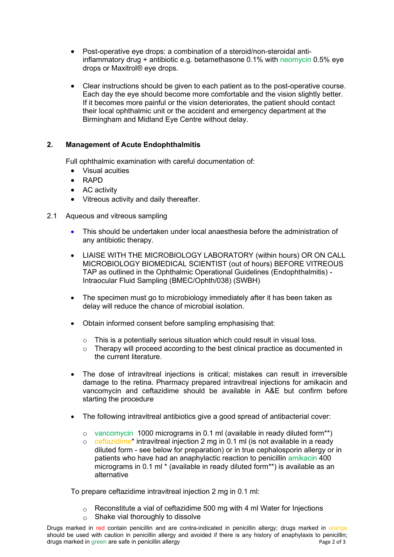- Post-operative eye drops: a combination of a steroid/non-steroidal antiinflammatory drug + antibiotic e.g. betamethasone 0.1% with neomycin 0.5% eye drops or Maxitrol® eye drops.
- Clear instructions should be given to each patient as to the post-operative course. Each day the eye should become more comfortable and the vision slightly better. If it becomes more painful or the vision deteriorates, the patient should contact their local ophthalmic unit or the accident and emergency department at the Birmingham and Midland Eye Centre without delay.

# **2. Management of Acute Endophthalmitis**

Full ophthalmic examination with careful documentation of:

- Visual acuities
- RAPD
- AC activity
- Vitreous activity and daily thereafter.
- 2.1 Aqueous and vitreous sampling
	- This should be undertaken under local anaesthesia before the administration of any antibiotic therapy.
	- LIAISE WITH THE MICROBIOLOGY LABORATORY (within hours) OR ON CALL MICROBIOLOGY BIOMEDICAL SCIENTIST (out of hours) BEFORE VITREOUS TAP as outlined in the [Ophthalmic Operational Guidelines \(Endophthalmitis\) -](https://connect2.swbh.nhs.uk/wp-content/uploads/2016/07/Ophthalmic-Operational-Guidelines-Intraocular-Fluid-Sampling-BMEC-Ophth038-SWBH.pdf?x19975) [Intraocular Fluid Sampling \(BMEC/Ophth/038\) \(SWBH\)](https://connect2.swbh.nhs.uk/wp-content/uploads/2016/07/Ophthalmic-Operational-Guidelines-Intraocular-Fluid-Sampling-BMEC-Ophth038-SWBH.pdf?x19975)
	- The specimen must go to microbiology immediately after it has been taken as delay will reduce the chance of microbial isolation.
	- Obtain informed consent before sampling emphasising that:
		- $\circ$  This is a potentially serious situation which could result in visual loss.<br>  $\circ$  Therapy will proceed according to the best clinical practice as docume
		- Therapy will proceed according to the best clinical practice as documented in the current literature.
	- The dose of intravitreal injections is critical; mistakes can result in irreversible damage to the retina. Pharmacy prepared intravitreal injections for amikacin and vancomycin and ceftazidime should be available in A&E but confirm before starting the procedure
	- The following intravitreal antibiotics give a good spread of antibacterial cover:
		- o vancomycin 1000 micrograms in 0.1 ml (available in ready diluted form\*\*)
		- o ceftazidime\* intravitreal injection 2 mg in 0.1 ml (is not available in a ready diluted form - see below for preparation) or in true cephalosporin allergy or in patients who have had an anaphylactic reaction to penicillin amikacin 400 micrograms in 0.1 ml \* (available in ready diluted form\*\*) is available as an alternative

To prepare ceftazidime intravitreal injection 2 mg in 0.1 ml:

- $\circ$  Reconstitute a vial of ceftazidime 500 mg with 4 ml Water for Injections
- $\circ$  Shake vial thoroughly to dissolve

Drugs marked in red contain penicillin and are contra-indicated in penicillin allergy; drugs marked in orange should be used with caution in penicillin allergy and avoided if there is any history of anaphylaxis to penicillin; drugs marked in green are safe in penicillin allergy **Page 2 of 3** and 3 and 3 and 3 and 3 and 3 and 4 and 3 and 4 and 4 and 4 and 4 and 4 and 4 and 4 and 4 and 4 and 4 and 4 and 4 and 4 and 4 and 4 and 4 and 4 and 4 and 4